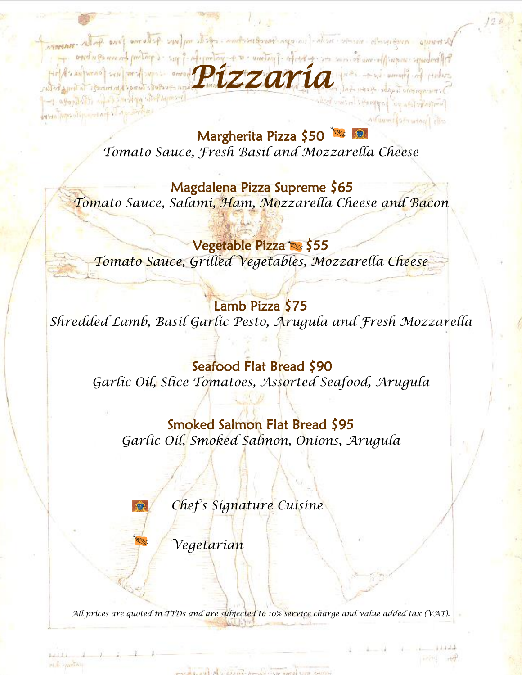Margherita Pizza \$50 *Tomato Sauce, Fresh Basil and Mozzarella Cheese*

**GRANDY ANIPER** 

Pizzaria and real pixzing and **Pizzaria** and tax individual

cefolic inner harden mot To Trush holder

What https://p.ep.ter.com

rick metal

a agonality who smoken with hymnes

Magdalena Pizza Supreme \$65

*Tomato Sauce, Salami, Ham, Mozzarella Cheese and Bacon*

Vegetable Pizza *Tomato Sauce, Grilled Vegetables, Mozzarella Cheese*

Lamb Pizza \$75 *Shredded Lamb, Basil Garlic Pesto, Arugula and Fresh Mozzarella*

Seafood Flat Bread \$90 *Garlic Oil, Slice Tomatoes, Assorted Seafood, Arugula*

Smoked Salmon Flat Bread \$95 *Garlic Oil, Smoked Salmon, Onions, Arugula* 

*Chef's Signature Cuisine*

*Vegetarian*

*All prices are quoted in TTD\$ and are subjected to 10% service charge and value added tax (VAT).*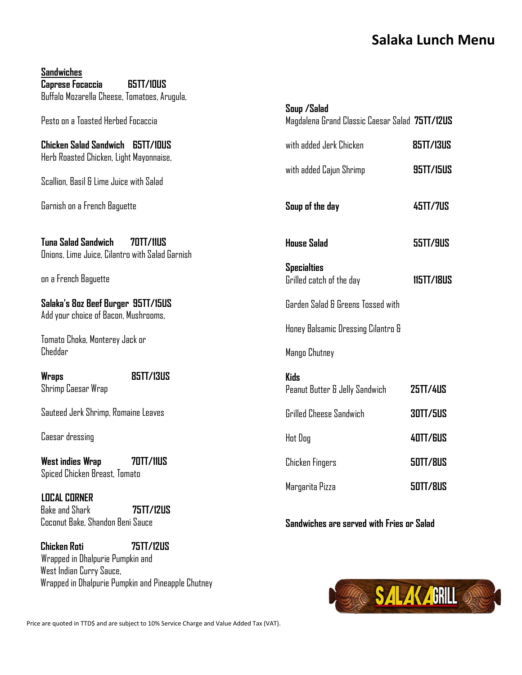## **Salaka Lunch Menu**

**Sandwiches Caprese Focaccia 65TT/10US** Buffalo Mozarella Cheese, Tomatoes, Arugula, Pesto on a Toasted Herbed Focaccia **Chicken Salad Sandwich 65TT/10US** Herb Roasted Chicken, Light Mayonnaise, Scallion, Basil & Lime Juice with Salad Garnish on a French Baguette **Tuna Salad Sandwich 70TT/11US** Onions, Lime Juice, Cilantro with Salad Garnish on a French Baguette **Salaka's 8oz Beef Burger 95TT/15US** Add your choice of Bacon, Mushrooms, Tomato Choka, Monterey Jack or Cheddar **Wraps 85TT/13US** Shrimp Caesar Wrap Sauteed Jerk Shrimp, Romaine Leaves Caesar dressing West indies Wran **70TT/11US** Spiced Chicken Breast, Tomato  **LOCAL CORNER** Bake and Shark **75TT/12US** Coconut Bake, Shandon Beni Sauce **Chicken Roti 75TT/12US Soup /Salad** Magdalena Grand Classic Caesar Salad **75TT/12US** with added Jerk Chicken **85TT/13US** with added Cajun Shrimp **95TT/15US Soup of the day 45TT/7US House Salad 55TT/9US Specialties** Grilled catch of the day **115TT/18US** Garden Salad & Greens Tossed with Honey Balsamic Dressing Cilantro & Mango Chutney **Kids** Peanut Butter & Jelly Sandwich **25TT/4US** Grilled Cheese Sandwich **30TT/5US** Hot Dog **40TT/6US** Chicken Fingers **50TT/8US** Margarita Pizza **50TT/8US Sandwiches are served with Fries or Salad**

Wrapped in Dhalpurie Pumpkin and West Indian Curry Sauce, Wrapped in Dhalpurie Pumpkin and Pineapple Chutney

Price are quoted in TTD\$ and are subject to 10% Service Charge and Value Added Tax (VAT).

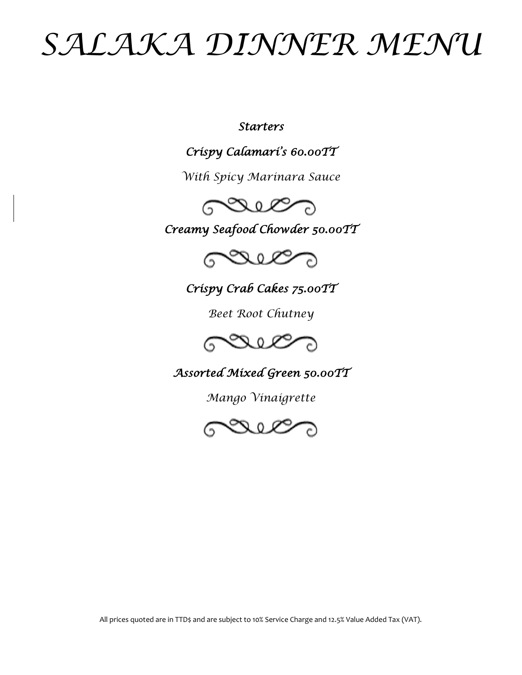## *SALAKA DINNER MENU*

*Starters* 

*Crispy Calamari's 60.00TT* 

*With Spicy Marinara Sauce* 



*Creamy Seafood Chowder 50.00TT* 



*Crispy Crab Cakes 75.00TT* 

*Beet Root Chutney*



*Assorted Mixed Green 50.00TT* 

*Mango Vinaigrette* 



All prices quoted are in TTD\$ and are subject to 10% Service Charge and 12.5% Value Added Tax (VAT).